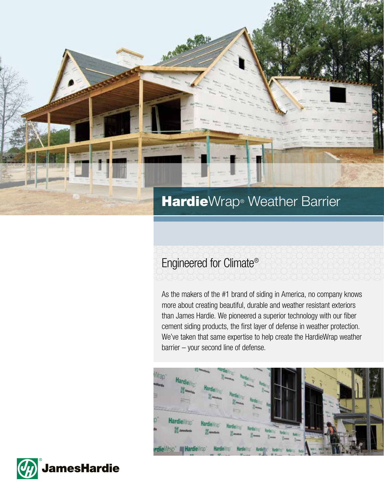

# Engineered for Climate®

As the makers of the #1 brand of siding in America, no company knows more about creating beautiful, durable and weather resistant exteriors than James Hardie. We pioneered a superior technology with our fiber cement siding products, the first layer of defense in weather protection. We've taken that same expertise to help create the HardieWrap weather barrier – your second line of defense.



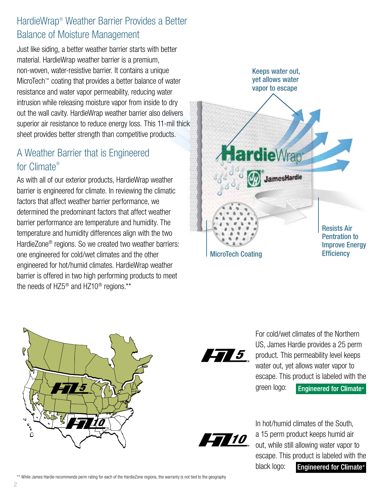## HardieWrap® Weather Barrier Provides a Better Balance of Moisture Management

Just like siding, a better weather barrier starts with better material. HardieWrap weather barrier is a premium, non-woven, water-resistive barrier. It contains a unique MicroTech™ coating that provides a better balance of water resistance and water vapor permeability, reducing water intrusion while releasing moisture vapor from inside to dry out the wall cavity. HardieWrap weather barrier also delivers superior air resistance to reduce energy loss. This 11-mil thick sheet provides better strength than competitive products.

## A Weather Barrier that is Engineered for Climate®

As with all of our exterior products, HardieWrap weather barrier is engineered for climate. In reviewing the climatic factors that affect weather barrier performance, we determined the predominant factors that affect weather barrier performance are temperature and humidity. The temperature and humidity differences align with the two HardieZone® regions. So we created two weather barriers: one engineered for cold/wet climates and the other engineered for hot/humid climates. HardieWrap weather barrier is offered in two high performing products to meet the needs of HZ5® and HZ10® regions.\*\*







For cold/wet climates of the Northern US, James Hardie provides a 25 perm product. This permeability level keeps water out, yet allows water vapor to escape. This product is labeled with the green logo: **Engineered for Climate®** 



In hot/humid climates of the South, a 15 perm product keeps humid air out, while still allowing water vapor to escape. This product is labeled with the black logo: **Engineered for Climate®**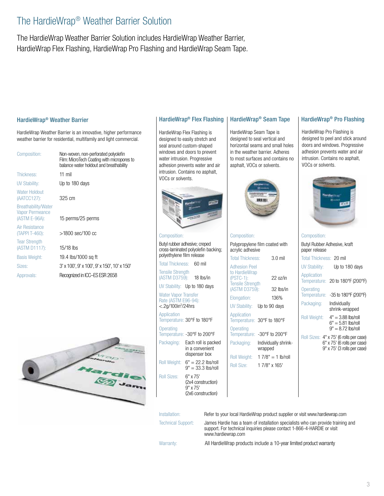## The HardieWrap® Weather Barrier Solution

The HardieWrap Weather Barrier Solution includes HardieWrap Weather Barrier, HardieWrap Flex Flashing, HardieWrap Pro Flashing and HardieWrap Seam Tape.

#### HardieWrap® Weather Barrier

HardieWrap Weather Barrier is an innovative, higher performance weather barrier for residential, multifamily and light commercial.

| Composition:                                                   | Non-woven, non-perforated polyolefin<br>Film: MicroTech Coating with micropores to<br>balance water holdout and breathability |
|----------------------------------------------------------------|-------------------------------------------------------------------------------------------------------------------------------|
| Thickness:                                                     | 11 mil                                                                                                                        |
| UV Stability:                                                  | Up to 180 days                                                                                                                |
| Water Holdout<br>(AATCC127):                                   | 325 cm                                                                                                                        |
| <b>Breathability/Water</b><br>Vapor Permeance<br>(ASTM E-96A): | 15 perms/25 perms                                                                                                             |
| Air Resistance<br>(TAPPI T-460):                               | $>1800$ sec/100 cc                                                                                                            |
| <b>Tear Strength</b><br>(ASTM D1117):                          | $15/18$ lbs                                                                                                                   |
| <b>Basis Weight:</b>                                           | 19.4 lbs/1000 sq ft                                                                                                           |
| Sizes:                                                         | 3' x 100', 9' x 100', 9' x 150', 10' x 150'                                                                                   |
| Approvals:                                                     | Recognized in ICC-ES ESR 2658                                                                                                 |



### HardieWrap® Flex Flashing

HardieWrap Flex Flashing is designed to easily stretch and seal around custom-shaped windows and doors to prevent water intrusion. Progressive adhesion prevents water and air intrusion. Contains no asphalt, VOCs or solvents.



#### Composition:

Butyl rubber adhesive; creped cross-laminated polyolefin backing; polyethylene film release

Total Thickness: 60 mil Tensile Strength

(ASTM D3759): 18 lbs/in UV Stability: Up to 180 days

Water Vapor Transfer Rate (ASTM E96-94): <.2g/100in2 /24hrs

**Application** Temperature: 30°F to 180°F **Operating** Temperature: -30°F to 200°F Packaging: Each roll is packed

in a convenient dispenser box Roll Weight:  $6" = 22.2$  lbs/roll

 $9" = 33.3$  lbs/roll Roll Sizes: 6" x 75' (2x4 construction) 9" x 75' (2x6 construction)

designed to seal vertical and horizontal seams and small holes in the weather barrier. Adheres to most surfaces and contains no

asphalt, VOCs or solvents.

HardieWrap Seam Tape is



Composition: Polypropylene film coated with acrylic adhesive Total Thickness: 3.0 mil Adhesion Peel to HardieWrap (PSTC-1): 22 oz/in Tensile Strength (ASTM D3759): 32 lbs/in Elongation: 136% UV Stability: Up to 90 days **Application** Temperature: 30°F to 180°F **Operating** Temperature: -30°F to 200°F Packaging: Individually shrink-

wrapped Roll Weight:  $17/8" = 1$  lb/roll Roll Size: 1 7/8" x 165'

HardieWrap<sup>®</sup> Seam Tape | HardieWrap<sup>®</sup> Pro Flashing

HardieWrap Pro Flashing is designed to peel and stick around doors and windows. Progressive adhesion prevents water and air intrusion. Contains no asphalt, VOCs or solvents.



### Composition: Butyl Rubber Adhesive, kraft paper release Total Thickness: 20 mil UV Stability: Up to 180 days Application Temperature: 20 to 180°F (200°F) **Operating** Temperature: -35 to 180°F (200°F) Packaging: Individually shrink-wrapped Roll Weight: 4" = 3.88 lbs/roll  $6" = 5.81$  lbs/roll  $9" = 8.72$  lbs/roll Roll Sizes: 4" x 75' (6 rolls per case) 6" x 75' (6 rolls per case) 9" x 75' (3 rolls per case)

Installation: Refer to your local HardieWrap product supplier or visit www.hardiewrap.com Technical Support: James Hardie has a team of installation specialists who can provide training and support. For technical inquiries please contact 1-866-4-HARDIE or visit

www.hardiewrap.com Warranty: **All HardieWrap products include a 10-year limited product warranty**